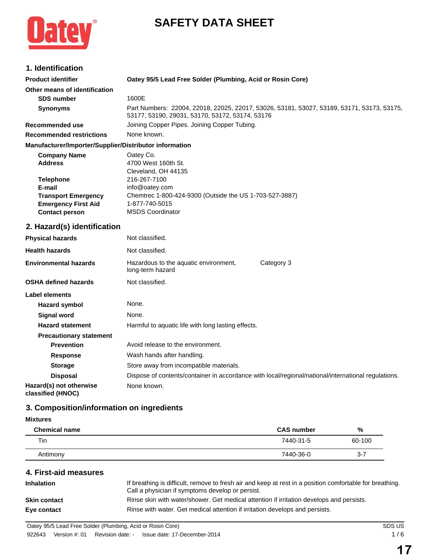# **SAFETY DATA SHEET**



## **1. Identification**

| <b>Product identifier</b>                              | Oatey 95/5 Lead Free Solder (Plumbing, Acid or Rosin Core)                                                                                    |
|--------------------------------------------------------|-----------------------------------------------------------------------------------------------------------------------------------------------|
| Other means of identification                          |                                                                                                                                               |
| <b>SDS number</b>                                      | 1600E                                                                                                                                         |
| <b>Synonyms</b>                                        | Part Numbers: 22004, 22018, 22025, 22017, 53026, 53181, 53027, 53189, 53171, 53173, 53175,<br>53177, 53190, 29031, 53170, 53172, 53174, 53176 |
| Recommended use                                        | Joining Copper Pipes. Joining Copper Tubing.                                                                                                  |
| <b>Recommended restrictions</b>                        | None known.                                                                                                                                   |
| Manufacturer/Importer/Supplier/Distributor information |                                                                                                                                               |
| <b>Company Name</b>                                    | Oatey Co.                                                                                                                                     |
| <b>Address</b>                                         | 4700 West 160th St.                                                                                                                           |

| <b>Address</b>             | 4700 West 160th St.                                     |
|----------------------------|---------------------------------------------------------|
|                            | Cleveland, OH 44135                                     |
| <b>Telephone</b>           | 216-267-7100                                            |
| E-mail                     | info@oatey.com                                          |
| <b>Transport Emergency</b> | Chemtrec 1-800-424-9300 (Outside the US 1-703-527-3887) |
| <b>Emergency First Aid</b> | 1-877-740-5015                                          |
| <b>Contact person</b>      | <b>MSDS Coordinator</b>                                 |
|                            |                                                         |

## **2. Hazard(s) identification**

| <b>Physical hazards</b>                      | Not classified.                                           |                                                                                                     |
|----------------------------------------------|-----------------------------------------------------------|-----------------------------------------------------------------------------------------------------|
| <b>Health hazards</b>                        | Not classified.                                           |                                                                                                     |
| <b>Environmental hazards</b>                 | Hazardous to the aquatic environment,<br>long-term hazard | Category 3                                                                                          |
| OSHA defined hazards                         | Not classified.                                           |                                                                                                     |
| Label elements                               |                                                           |                                                                                                     |
| <b>Hazard symbol</b>                         | None.                                                     |                                                                                                     |
| Signal word                                  | None.                                                     |                                                                                                     |
| <b>Hazard statement</b>                      | Harmful to aquatic life with long lasting effects.        |                                                                                                     |
| <b>Precautionary statement</b>               |                                                           |                                                                                                     |
| <b>Prevention</b>                            | Avoid release to the environment.                         |                                                                                                     |
| <b>Response</b>                              | Wash hands after handling.                                |                                                                                                     |
| <b>Storage</b>                               | Store away from incompatible materials.                   |                                                                                                     |
| <b>Disposal</b>                              |                                                           | Dispose of contents/container in accordance with local/regional/national/international regulations. |
| Hazard(s) not otherwise<br>classified (HNOC) | None known.                                               |                                                                                                     |

## **3. Composition/information on ingredients**

## **Mixtures**

| <b>Chemical name</b> | <b>CAS number</b> | %       |
|----------------------|-------------------|---------|
| Tin                  | 7440-31-5         | 60-100  |
| Antimony             | 7440-36-0         | $3 - 7$ |

## **4. First-aid measures**

| If breathing is difficult, remove to fresh air and keep at rest in a position comfortable for breathing.<br>Call a physician if symptoms develop or persist. |
|--------------------------------------------------------------------------------------------------------------------------------------------------------------|
| Rinse skin with water/shower. Get medical attention if irritation develops and persists.                                                                     |
| Rinse with water. Get medical attention if irritation develops and persists.                                                                                 |
|                                                                                                                                                              |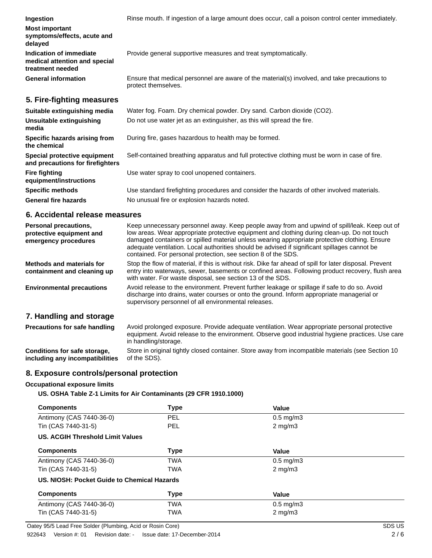**Ingestion** Rinse mouth. If ingestion of a large amount does occur, call a poison control center immediately. **Most important symptoms/effects, acute and delayed Indication of immediate medical attention and special treatment needed** Provide general supportive measures and treat symptomatically. **General information** Ensure that medical personnel are aware of the material(s) involved, and take precautions to protect themselves. **5. Fire-fighting measures Suitable extinguishing media** Water fog. Foam. Dry chemical powder. Dry sand. Carbon dioxide (CO2).

| <u>sanawio okungalomnig modia</u>                                |                                                                                               |
|------------------------------------------------------------------|-----------------------------------------------------------------------------------------------|
| Unsuitable extinguishing<br>media                                | Do not use water jet as an extinguisher, as this will spread the fire.                        |
| Specific hazards arising from<br>the chemical                    | During fire, gases hazardous to health may be formed.                                         |
| Special protective equipment<br>and precautions for firefighters | Self-contained breathing apparatus and full protective clothing must be worn in case of fire. |
| <b>Fire fighting</b><br>equipment/instructions                   | Use water spray to cool unopened containers.                                                  |
| <b>Specific methods</b>                                          | Use standard firefighting procedures and consider the hazards of other involved materials.    |
| <b>General fire hazards</b>                                      | No unusual fire or explosion hazards noted.                                                   |

#### **6. Accidental release measures**

| Personal precautions,<br>protective equipment and<br>emergency procedures                                                                                                                                                       | Keep unnecessary personnel away. Keep people away from and upwind of spill/leak. Keep out of<br>low areas. Wear appropriate protective equipment and clothing during clean-up. Do not touch<br>damaged containers or spilled material unless wearing appropriate protective clothing. Ensure<br>adequate ventilation. Local authorities should be advised if significant spillages cannot be<br>contained. For personal protection, see section 8 of the SDS. |
|---------------------------------------------------------------------------------------------------------------------------------------------------------------------------------------------------------------------------------|---------------------------------------------------------------------------------------------------------------------------------------------------------------------------------------------------------------------------------------------------------------------------------------------------------------------------------------------------------------------------------------------------------------------------------------------------------------|
| Methods and materials for<br>containment and cleaning up                                                                                                                                                                        | Stop the flow of material, if this is without risk. Dike far ahead of spill for later disposal. Prevent<br>entry into waterways, sewer, basements or confined areas. Following product recovery, flush area<br>with water. For waste disposal, see section 13 of the SDS.                                                                                                                                                                                     |
| <b>Environmental precautions</b>                                                                                                                                                                                                | Avoid release to the environment. Prevent further leakage or spillage if safe to do so. Avoid<br>discharge into drains, water courses or onto the ground. Inform appropriate managerial or<br>supervisory personnel of all environmental releases.                                                                                                                                                                                                            |
| 7. Handling and storage                                                                                                                                                                                                         |                                                                                                                                                                                                                                                                                                                                                                                                                                                               |
| <b>Precautions for safe handling</b>                                                                                                                                                                                            | Avoid prolonged exposure. Provide adequate ventilation. Wear appropriate personal protective<br>equipment. Avoid release to the environment. Observe good industrial hygiene practices. Use care<br>in handling/storage.                                                                                                                                                                                                                                      |
| $\sim$ . The set of the set of the set of the set of the set of the set of the set of the set of the set of the set of the set of the set of the set of the set of the set of the set of the set of the set of the set of the s | Otrar la ralalari d'abible ricer d'escutalara. Otrar cense farar la reaccionalità arcterale fres. Original d'O                                                                                                                                                                                                                                                                                                                                                |

**Conditions for safe storage, including any incompatibilities** Store in original tightly closed container. Store away from incompatible materials (see Section 10 of the SDS).

#### **8. Exposure controls/personal protection**

#### **Occupational exposure limits**

**US. OSHA Table Z-1 Limits for Air Contaminants (29 CFR 1910.1000)**

| <b>Components</b>                           | <b>Type</b> | Value                |  |
|---------------------------------------------|-------------|----------------------|--|
| Antimony (CAS 7440-36-0)                    | <b>PEL</b>  | $0.5 \text{ mg/m}$ 3 |  |
| Tin (CAS 7440-31-5)                         | PEL.        | $2$ mg/m $3$         |  |
| US. ACGIH Threshold Limit Values            |             |                      |  |
| <b>Components</b>                           | <b>Type</b> | Value                |  |
| Antimony (CAS 7440-36-0)                    | <b>TWA</b>  | $0.5$ mg/m $3$       |  |
| Tin (CAS 7440-31-5)                         | <b>TWA</b>  | $2 \text{ mg/m}$     |  |
| US. NIOSH: Pocket Guide to Chemical Hazards |             |                      |  |
| <b>Components</b>                           | <b>Type</b> | Value                |  |
| Antimony (CAS 7440-36-0)                    | <b>TWA</b>  | $0.5 \text{ mg/m}$ 3 |  |
| Tin (CAS 7440-31-5)                         | <b>TWA</b>  | $2 \text{ mg/m}$     |  |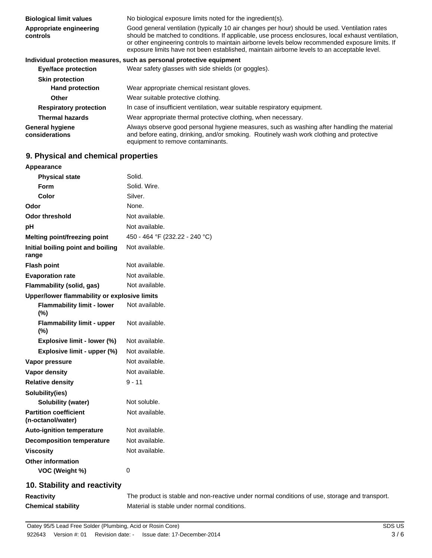| <b>Biological limit values</b>           | No biological exposure limits noted for the ingredient(s).                                                                                                                                                                                                                                                                                                                                             |
|------------------------------------------|--------------------------------------------------------------------------------------------------------------------------------------------------------------------------------------------------------------------------------------------------------------------------------------------------------------------------------------------------------------------------------------------------------|
| Appropriate engineering<br>controls      | Good general ventilation (typically 10 air changes per hour) should be used. Ventilation rates<br>should be matched to conditions. If applicable, use process enclosures, local exhaust ventilation,<br>or other engineering controls to maintain airborne levels below recommended exposure limits. If<br>exposure limits have not been established, maintain airborne levels to an acceptable level. |
|                                          | Individual protection measures, such as personal protective equipment                                                                                                                                                                                                                                                                                                                                  |
| <b>Eye/face protection</b>               | Wear safety glasses with side shields (or goggles).                                                                                                                                                                                                                                                                                                                                                    |
| <b>Skin protection</b>                   |                                                                                                                                                                                                                                                                                                                                                                                                        |
| <b>Hand protection</b>                   | Wear appropriate chemical resistant gloves.                                                                                                                                                                                                                                                                                                                                                            |
| <b>Other</b>                             | Wear suitable protective clothing.                                                                                                                                                                                                                                                                                                                                                                     |
| <b>Respiratory protection</b>            | In case of insufficient ventilation, wear suitable respiratory equipment.                                                                                                                                                                                                                                                                                                                              |
| <b>Thermal hazards</b>                   | Wear appropriate thermal protective clothing, when necessary.                                                                                                                                                                                                                                                                                                                                          |
| <b>General hygiene</b><br>considerations | Always observe good personal hygiene measures, such as washing after handling the material<br>and before eating, drinking, and/or smoking. Routinely wash work clothing and protective<br>equipment to remove contaminants.                                                                                                                                                                            |

## **9. Physical and chemical properties**

| Appearance                                        |                                |
|---------------------------------------------------|--------------------------------|
| <b>Physical state</b>                             | Solid.                         |
| <b>Form</b>                                       | Solid. Wire.                   |
| Color                                             | Silver.                        |
| Odor                                              | None.                          |
| <b>Odor threshold</b>                             | Not available.                 |
| pH                                                | Not available.                 |
| <b>Melting point/freezing point</b>               | 450 - 464 °F (232.22 - 240 °C) |
| Initial boiling point and boiling<br>range        | Not available.                 |
| <b>Flash point</b>                                | Not available.                 |
| <b>Evaporation rate</b>                           | Not available.                 |
| Flammability (solid, gas)                         | Not available.                 |
| Upper/lower flammability or explosive limits      |                                |
| <b>Flammability limit - lower</b><br>(%)          | Not available.                 |
| <b>Flammability limit - upper</b><br>$(\%)$       | Not available.                 |
| Explosive limit - lower (%)                       | Not available.                 |
| Explosive limit - upper (%)                       | Not available.                 |
| Vapor pressure                                    | Not available.                 |
| Vapor density                                     | Not available.                 |
| <b>Relative density</b>                           | $9 - 11$                       |
| Solubility(ies)                                   |                                |
| Solubility (water)                                | Not soluble.                   |
| <b>Partition coefficient</b><br>(n-octanol/water) | Not available.                 |
| <b>Auto-ignition temperature</b>                  | Not available.                 |
| <b>Decomposition temperature</b>                  | Not available.                 |
| <b>Viscosity</b>                                  | Not available.                 |
| <b>Other information</b>                          |                                |
| VOC (Weight %)                                    | $\mathbf 0$                    |
| 10. Stability and reactivity                      |                                |

**Reactivity** The product is stable and non-reactive under normal conditions of use, storage and transport. **Chemical stability** Material is stable under normal conditions.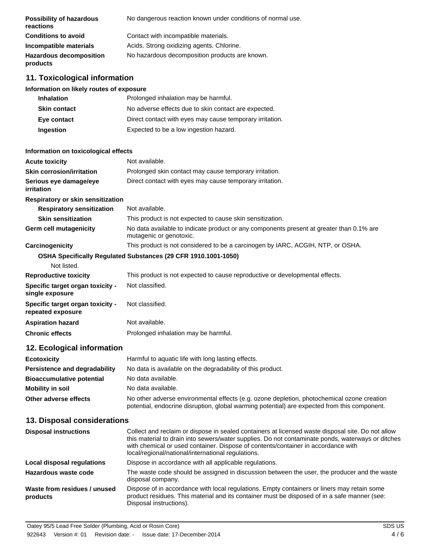| <b>Possibility of hazardous</b><br>reactions | No dangerous reaction known under conditions of normal use. |
|----------------------------------------------|-------------------------------------------------------------|
| <b>Conditions to avoid</b>                   | Contact with incompatible materials.                        |
| Incompatible materials                       | Acids. Strong oxidizing agents. Chlorine.                   |
| <b>Hazardous decomposition</b><br>products   | No hazardous decomposition products are known.              |

### **11. Toxicological information**

#### **Information on likely routes of exposure**

| <b>Inhalation</b>   | Prolonged inhalation may be harmful.                     |
|---------------------|----------------------------------------------------------|
| <b>Skin contact</b> | No adverse effects due to skin contact are expected.     |
| Eye contact         | Direct contact with eyes may cause temporary irritation. |
| <b>Ingestion</b>    | Expected to be a low ingestion hazard.                   |

#### **Information on toxicological effects**

| <b>Acute toxicity</b>                                 | Not available.                                                                                                      |
|-------------------------------------------------------|---------------------------------------------------------------------------------------------------------------------|
| <b>Skin corrosion/irritation</b>                      | Prolonged skin contact may cause temporary irritation.                                                              |
| Serious eye damage/eye<br>irritation                  | Direct contact with eyes may cause temporary irritation.                                                            |
| <b>Respiratory or skin sensitization</b>              |                                                                                                                     |
| <b>Respiratory sensitization</b>                      | Not available.                                                                                                      |
| <b>Skin sensitization</b>                             | This product is not expected to cause skin sensitization.                                                           |
| <b>Germ cell mutagenicity</b>                         | No data available to indicate product or any components present at greater than 0.1% are<br>mutagenic or genotoxic. |
| Carcinogenicity                                       | This product is not considered to be a carcinogen by IARC, ACGIH, NTP, or OSHA.                                     |
|                                                       | OSHA Specifically Regulated Substances (29 CFR 1910.1001-1050)                                                      |
| Not listed.                                           |                                                                                                                     |
| <b>Reproductive toxicity</b>                          | This product is not expected to cause reproductive or developmental effects.                                        |
| Specific target organ toxicity -<br>single exposure   | Not classified.                                                                                                     |
| Specific target organ toxicity -<br>repeated exposure | Not classified.                                                                                                     |
| <b>Aspiration hazard</b>                              | Not available.                                                                                                      |
| <b>Chronic effects</b>                                | Prolonged inhalation may be harmful.                                                                                |
| 12. Ecological information                            |                                                                                                                     |
| <b>Ecotoxicity</b>                                    | Harmful to aquatic life with long lasting effects.                                                                  |
| Persistence and degradability                         | No data is available on the degradability of this product.                                                          |
| <b>Bioaccumulative potential</b>                      | No data available.                                                                                                  |
| <b>Mobility in soil</b>                               | No data available.                                                                                                  |
| Other adverse effects                                 | No other adverse environmental effects (e.g. ozone depletion, photochemical ozone creation                          |

## **13. Disposal considerations**

| <b>Disposal instructions</b>             | Collect and reclaim or dispose in sealed containers at licensed waste disposal site. Do not allow<br>this material to drain into sewers/water supplies. Do not contaminate ponds, waterways or ditches<br>with chemical or used container. Dispose of contents/container in accordance with<br>local/regional/national/international regulations. |
|------------------------------------------|---------------------------------------------------------------------------------------------------------------------------------------------------------------------------------------------------------------------------------------------------------------------------------------------------------------------------------------------------|
| Local disposal regulations               | Dispose in accordance with all applicable regulations.                                                                                                                                                                                                                                                                                            |
| Hazardous waste code                     | The waste code should be assigned in discussion between the user, the producer and the waste<br>disposal company.                                                                                                                                                                                                                                 |
| Waste from residues / unused<br>products | Dispose of in accordance with local regulations. Empty containers or liners may retain some<br>product residues. This material and its container must be disposed of in a safe manner (see:<br>Disposal instructions).                                                                                                                            |

potential, endocrine disruption, global warming potential) are expected from this component.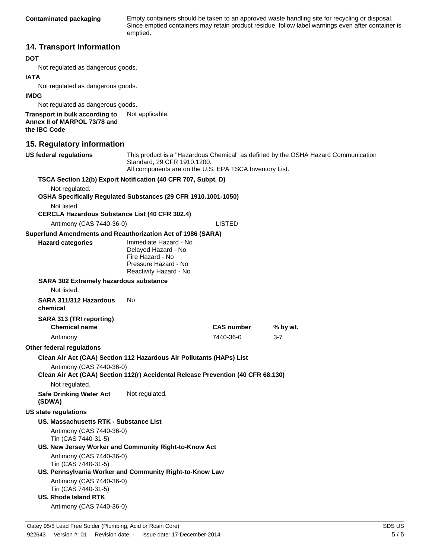**Contaminated packaging** Empty containers should be taken to an approved waste handling site for recycling or disposal. Since emptied containers may retain product residue, follow label warnings even after container is emptied.

#### **14. Transport information**

#### **DOT**

Not regulated as dangerous goods.

#### **IATA**

Not regulated as dangerous goods.

#### **IMDG**

Not regulated as dangerous goods.

**Transport in bulk according to** Not applicable. **Annex II of MARPOL 73/78 and the IBC Code**

#### **15. Regulatory information**

| <b>US federal regulations</b>                                                                                | Standard, 29 CFR 1910.1200.<br>All components are on the U.S. EPA TSCA Inventory List.                             |                   | This product is a "Hazardous Chemical" as defined by the OSHA Hazard Communication |  |
|--------------------------------------------------------------------------------------------------------------|--------------------------------------------------------------------------------------------------------------------|-------------------|------------------------------------------------------------------------------------|--|
| TSCA Section 12(b) Export Notification (40 CFR 707, Subpt. D)                                                |                                                                                                                    |                   |                                                                                    |  |
| Not regulated.                                                                                               |                                                                                                                    |                   |                                                                                    |  |
| OSHA Specifically Regulated Substances (29 CFR 1910.1001-1050)                                               |                                                                                                                    |                   |                                                                                    |  |
| Not listed.                                                                                                  |                                                                                                                    |                   |                                                                                    |  |
| <b>CERCLA Hazardous Substance List (40 CFR 302.4)</b>                                                        |                                                                                                                    |                   |                                                                                    |  |
| Antimony (CAS 7440-36-0)                                                                                     |                                                                                                                    | <b>LISTED</b>     |                                                                                    |  |
| Superfund Amendments and Reauthorization Act of 1986 (SARA)                                                  |                                                                                                                    |                   |                                                                                    |  |
| <b>Hazard categories</b>                                                                                     | Immediate Hazard - No<br>Delayed Hazard - No<br>Fire Hazard - No<br>Pressure Hazard - No<br>Reactivity Hazard - No |                   |                                                                                    |  |
| <b>SARA 302 Extremely hazardous substance</b><br>Not listed.                                                 |                                                                                                                    |                   |                                                                                    |  |
| SARA 311/312 Hazardous<br>chemical                                                                           | No                                                                                                                 |                   |                                                                                    |  |
| SARA 313 (TRI reporting)<br><b>Chemical name</b>                                                             |                                                                                                                    | <b>CAS number</b> | % by wt.                                                                           |  |
| Antimony                                                                                                     |                                                                                                                    | 7440-36-0         | $3 - 7$                                                                            |  |
| <b>Other federal regulations</b>                                                                             |                                                                                                                    |                   |                                                                                    |  |
| Clean Air Act (CAA) Section 112 Hazardous Air Pollutants (HAPs) List                                         |                                                                                                                    |                   |                                                                                    |  |
| Antimony (CAS 7440-36-0)<br>Clean Air Act (CAA) Section 112(r) Accidental Release Prevention (40 CFR 68.130) |                                                                                                                    |                   |                                                                                    |  |
| Not regulated.                                                                                               |                                                                                                                    |                   |                                                                                    |  |
| <b>Safe Drinking Water Act</b><br>(SDWA)                                                                     | Not regulated.                                                                                                     |                   |                                                                                    |  |
| <b>US state regulations</b>                                                                                  |                                                                                                                    |                   |                                                                                    |  |
| <b>US. Massachusetts RTK - Substance List</b>                                                                |                                                                                                                    |                   |                                                                                    |  |
| Tin (CAS 7440-31-5)                                                                                          | Antimony (CAS 7440-36-0)                                                                                           |                   |                                                                                    |  |
| US. New Jersey Worker and Community Right-to-Know Act                                                        |                                                                                                                    |                   |                                                                                    |  |
| Antimony (CAS 7440-36-0)                                                                                     |                                                                                                                    |                   |                                                                                    |  |
| Tin (CAS 7440-31-5)                                                                                          |                                                                                                                    |                   |                                                                                    |  |
| US. Pennsylvania Worker and Community Right-to-Know Law                                                      |                                                                                                                    |                   |                                                                                    |  |
| Antimony (CAS 7440-36-0)                                                                                     |                                                                                                                    |                   |                                                                                    |  |
| Tin (CAS 7440-31-5)                                                                                          |                                                                                                                    |                   |                                                                                    |  |
| <b>US. Rhode Island RTK</b><br>Antimony (CAS 7440-36-0)                                                      |                                                                                                                    |                   |                                                                                    |  |